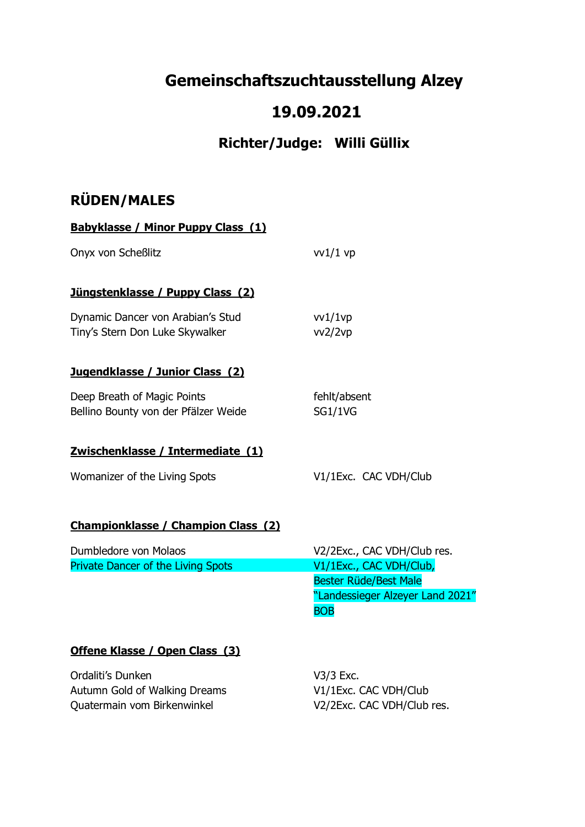# **Gemeinschaftszuchtausstellung Alzey**

## **19.09.2021**

## **Richter/Judge: Willi Güllix**

## **RÜDEN/MALES**

| <b>Babyklasse / Minor Puppy Class (1)</b>                            |                                                                                                           |  |  |
|----------------------------------------------------------------------|-----------------------------------------------------------------------------------------------------------|--|--|
| Onyx von Scheßlitz                                                   | $vv1/1$ vp                                                                                                |  |  |
| Jüngstenklasse / Puppy Class (2)                                     |                                                                                                           |  |  |
| Dynamic Dancer von Arabian's Stud<br>Tiny's Stern Don Luke Skywalker | $v$ v $1/1$ v $p$<br>vv2/2vp                                                                              |  |  |
| Jugendklasse / Junior Class (2)                                      |                                                                                                           |  |  |
| Deep Breath of Magic Points<br>Bellino Bounty von der Pfälzer Weide  | fehlt/absent<br><b>SG1/1VG</b>                                                                            |  |  |
| Zwischenklasse / Intermediate (1)                                    |                                                                                                           |  |  |
| Womanizer of the Living Spots                                        | V1/1Exc. CAC VDH/Club                                                                                     |  |  |
| <b>Championklasse / Champion Class (2)</b>                           |                                                                                                           |  |  |
| Dumbledore von Molaos                                                | V2/2Exc., CAC VDH/Club res.                                                                               |  |  |
| <b>Private Dancer of the Living Spots</b>                            | V1/1Exc., CAC VDH/Club,<br><b>Bester Rüde/Best Male</b><br>"Landessieger Alzeyer Land 2021"<br><b>BOB</b> |  |  |
|                                                                      |                                                                                                           |  |  |

### **Offene Klasse / Open Class (3)**

Ordaliti's Dunken V3/3 Exc. Autumn Gold of Walking Dreams V1/1Exc. CAC VDH/Club Quatermain vom Birkenwinkel V2/2Exc. CAC VDH/Club res.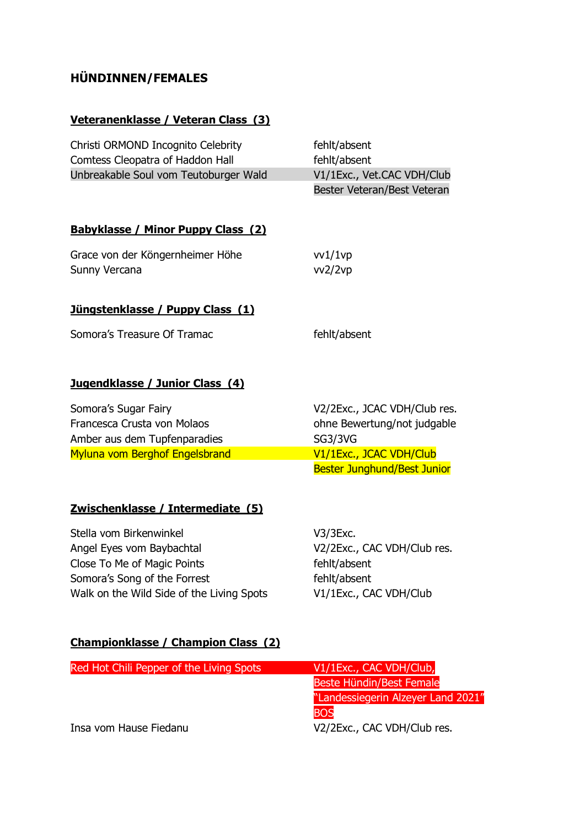## **HÜNDINNEN/FEMALES**

### **Veteranenklasse / Veteran Class (3)**

| Christi ORMOND Incognito Celebrity    | fehlt/absent                |
|---------------------------------------|-----------------------------|
| Comtess Cleopatra of Haddon Hall      | fehlt/absent                |
| Unbreakable Soul vom Teutoburger Wald | V1/1Exc., Vet.CAC VDH/Club  |
|                                       | Bester Veteran/Best Veteran |

#### **Babyklasse / Minor Puppy Class (2)**

| Grace von der Köngernheimer Höhe | vv1/1vp |
|----------------------------------|---------|
| Sunny Vercana                    | vv2/2vp |

#### **Jüngstenklasse / Puppy Class (1)**

| Somora's Treasure Of Tramac |  |  |  |
|-----------------------------|--|--|--|
|-----------------------------|--|--|--|

fehlt/absent

#### **Jugendklasse / Junior Class (4)**

| Somora's Sugar Fairy           | V2/2Exc., JCAC VDH/Club res.       |
|--------------------------------|------------------------------------|
| Francesca Crusta von Molaos    | ohne Bewertung/not judgable        |
| Amber aus dem Tupfenparadies   | SG3/3VG                            |
| Myluna vom Berghof Engelsbrand | V1/1Exc., JCAC VDH/Club            |
|                                | <b>Bester Junghund/Best Junior</b> |

#### **Zwischenklasse / Intermediate (5)**

Stella vom Birkenwinkel V3/3Exc. Angel Eyes vom Baybachtal V2/2Exc., CAC VDH/Club res. Close To Me of Magic Points **Fehlt/absent** Somora's Song of the Forrest fehlt/absent Walk on the Wild Side of the Living Spots V1/1Exc., CAC VDH/Club

#### **Championklasse / Champion Class (2)**

| Red Hot Chili Pepper of the Living Spots | V1/1Exc., CAC VDH/Club,            |
|------------------------------------------|------------------------------------|
|                                          | Beste Hündin/Best Female           |
|                                          | "Landessiegerin Alzeyer Land 2021" |
|                                          | <b>BOS</b>                         |
| Insa vom Hause Fiedanu                   | V2/2Exc., CAC VDH/Club res.        |